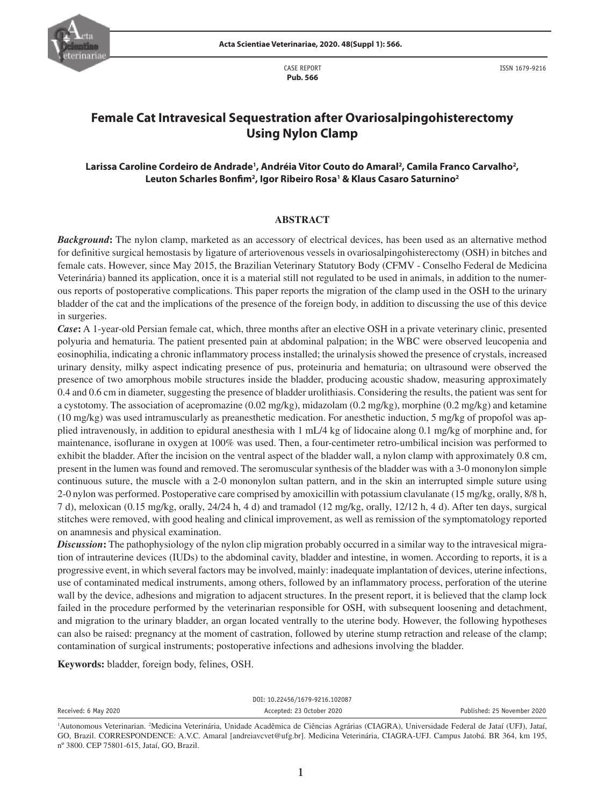

CASE REPORT **Pub. 566**

ISSN 1679-9216

# **Female Cat Intravesical Sequestration after Ovariosalpingohisterectomy Using Nylon Clamp**

## **Larissa Caroline Cordeiro de Andrade1 , Andréia Vitor Couto do Amaral2 , Camila Franco Carvalho2 , Leuton Scharles Bonfim2 , Igor Ribeiro Rosa1 & Klaus Casaro Saturnino2**

#### **ABSTRACT**

*Background***:** The nylon clamp, marketed as an accessory of electrical devices, has been used as an alternative method for definitive surgical hemostasis by ligature of arteriovenous vessels in ovariosalpingohisterectomy (OSH) in bitches and female cats. However, since May 2015, the Brazilian Veterinary Statutory Body (CFMV - Conselho Federal de Medicina Veterinária) banned its application, once it is a material still not regulated to be used in animals, in addition to the numerous reports of postoperative complications. This paper reports the migration of the clamp used in the OSH to the urinary bladder of the cat and the implications of the presence of the foreign body, in addition to discussing the use of this device in surgeries.

*Case***:** A 1-year-old Persian female cat, which, three months after an elective OSH in a private veterinary clinic, presented polyuria and hematuria. The patient presented pain at abdominal palpation; in the WBC were observed leucopenia and eosinophilia, indicating a chronic inflammatory process installed; the urinalysis showed the presence of crystals, increased urinary density, milky aspect indicating presence of pus, proteinuria and hematuria; on ultrasound were observed the presence of two amorphous mobile structures inside the bladder, producing acoustic shadow, measuring approximately 0.4 and 0.6 cm in diameter, suggesting the presence of bladder urolithiasis. Considering the results, the patient was sent for a cystotomy. The association of acepromazine (0.02 mg/kg), midazolam (0.2 mg/kg), morphine (0.2 mg/kg) and ketamine (10 mg/kg) was used intramuscularly as preanesthetic medication. For anesthetic induction, 5 mg/kg of propofol was applied intravenously, in addition to epidural anesthesia with 1 mL/4 kg of lidocaine along 0.1 mg/kg of morphine and, for maintenance, isoflurane in oxygen at 100% was used. Then, a four-centimeter retro-umbilical incision was performed to exhibit the bladder. After the incision on the ventral aspect of the bladder wall, a nylon clamp with approximately 0.8 cm, present in the lumen was found and removed. The seromuscular synthesis of the bladder was with a 3-0 mononylon simple continuous suture, the muscle with a 2-0 mononylon sultan pattern, and in the skin an interrupted simple suture using 2-0 nylon was performed. Postoperative care comprised by amoxicillin with potassium clavulanate (15 mg/kg, orally, 8/8 h, 7 d), meloxican (0.15 mg/kg, orally, 24/24 h, 4 d) and tramadol (12 mg/kg, orally, 12/12 h, 4 d). After ten days, surgical stitches were removed, with good healing and clinical improvement, as well as remission of the symptomatology reported on anamnesis and physical examination.

*Discussion***:** The pathophysiology of the nylon clip migration probably occurred in a similar way to the intravesical migration of intrauterine devices (IUDs) to the abdominal cavity, bladder and intestine, in women. According to reports, it is a progressive event, in which several factors may be involved, mainly: inadequate implantation of devices, uterine infections, use of contaminated medical instruments, among others, followed by an inflammatory process, perforation of the uterine wall by the device, adhesions and migration to adjacent structures. In the present report, it is believed that the clamp lock failed in the procedure performed by the veterinarian responsible for OSH, with subsequent loosening and detachment, and migration to the urinary bladder, an organ located ventrally to the uterine body. However, the following hypotheses can also be raised: pregnancy at the moment of castration, followed by uterine stump retraction and release of the clamp; contamination of surgical instruments; postoperative infections and adhesions involving the bladder.

**Keywords:** bladder, foreign body, felines, OSH.

|                      | DOI: 10.22456/1679-9216.102087 |                             |
|----------------------|--------------------------------|-----------------------------|
| Received: 6 May 2020 | Accepted: 23 October 2020      | Published: 25 November 2020 |
|                      |                                |                             |

<sup>&</sup>lt;sup>1</sup>Autonomous Veterinarian. <sup>2</sup>Medicina Veterinária, Unidade Acadêmica de Ciências Agrárias (CIAGRA), Universidade Federal de Jataí (UFJ), Jataí, GO, Brazil. CORRESPONDENCE: A.V.C. Amaral [andreiavcvet@ufg.br]. Medicina Veterinária, CIAGRA-UFJ. Campus Jatobá. BR 364, km 195, nº 3800. CEP 75801-615, Jataí, GO, Brazil.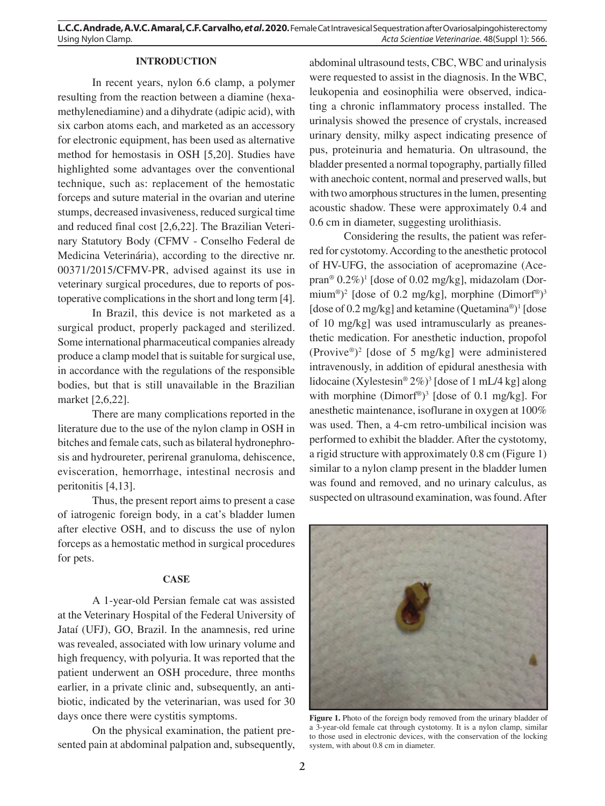## **INTRODUCTION**

In recent years, nylon 6.6 clamp, a polymer resulting from the reaction between a diamine (hexamethylenediamine) and a dihydrate (adipic acid), with six carbon atoms each, and marketed as an accessory for electronic equipment, has been used as alternative method for hemostasis in OSH [5,20]. Studies have highlighted some advantages over the conventional technique, such as: replacement of the hemostatic forceps and suture material in the ovarian and uterine stumps, decreased invasiveness, reduced surgical time and reduced final cost [2,6,22]. The Brazilian Veterinary Statutory Body (CFMV - Conselho Federal de Medicina Veterinária), according to the directive nr. 00371/2015/CFMV-PR, advised against its use in veterinary surgical procedures, due to reports of postoperative complications in the short and long term [4].

In Brazil, this device is not marketed as a surgical product, properly packaged and sterilized. Some international pharmaceutical companies already produce a clamp model that is suitable for surgical use, in accordance with the regulations of the responsible bodies, but that is still unavailable in the Brazilian market [2,6,22].

There are many complications reported in the literature due to the use of the nylon clamp in OSH in bitches and female cats, such as bilateral hydronephrosis and hydroureter, perirenal granuloma, dehiscence, evisceration, hemorrhage, intestinal necrosis and peritonitis [4,13].

Thus, the present report aims to present a case of iatrogenic foreign body, in a cat's bladder lumen after elective OSH, and to discuss the use of nylon forceps as a hemostatic method in surgical procedures for pets.

#### **CASE**

A 1-year-old Persian female cat was assisted at the Veterinary Hospital of the Federal University of Jataí (UFJ), GO, Brazil. In the anamnesis, red urine was revealed, associated with low urinary volume and high frequency, with polyuria. It was reported that the patient underwent an OSH procedure, three months earlier, in a private clinic and, subsequently, an antibiotic, indicated by the veterinarian, was used for 30 days once there were cystitis symptoms.

On the physical examination, the patient presented pain at abdominal palpation and, subsequently,

abdominal ultrasound tests, CBC, WBC and urinalysis were requested to assist in the diagnosis. In the WBC, leukopenia and eosinophilia were observed, indicating a chronic inflammatory process installed. The urinalysis showed the presence of crystals, increased urinary density, milky aspect indicating presence of pus, proteinuria and hematuria. On ultrasound, the bladder presented a normal topography, partially filled with anechoic content, normal and preserved walls, but with two amorphous structures in the lumen, presenting acoustic shadow. These were approximately 0.4 and 0.6 cm in diameter, suggesting urolithiasis.

Considering the results, the patient was referred for cystotomy. According to the anesthetic protocol of HV-UFG, the association of acepromazine (Acepran® 0.2%)<sup>1</sup> [dose of 0.02 mg/kg], midazolam (Dormium®)<sup>2</sup> [dose of 0.2 mg/kg], morphine (Dimorf®)<sup>3</sup> [dose of 0.2 mg/kg] and ketamine (Quetamina®)<sup>1</sup> [dose of 10 mg/kg] was used intramuscularly as preanesthetic medication. For anesthetic induction, propofol (Provive®)2 [dose of 5 mg/kg] were administered intravenously, in addition of epidural anesthesia with lidocaine (Xylestesin® 2%)<sup>3</sup> [dose of 1 mL/4 kg] along with morphine  $(Dimorf^{\circledast})^3$  [dose of 0.1 mg/kg]. For anesthetic maintenance, isoflurane in oxygen at 100% was used. Then, a 4-cm retro-umbilical incision was performed to exhibit the bladder. After the cystotomy, a rigid structure with approximately 0.8 cm (Figure 1) similar to a nylon clamp present in the bladder lumen was found and removed, and no urinary calculus, as suspected on ultrasound examination, was found. After



Figure 1. Photo of the foreign body removed from the urinary bladder of a 3-year-old female cat through cystotomy. It is a nylon clamp, similar to those used in electronic devices, with the conservation of the locking system, with about 0.8 cm in diameter.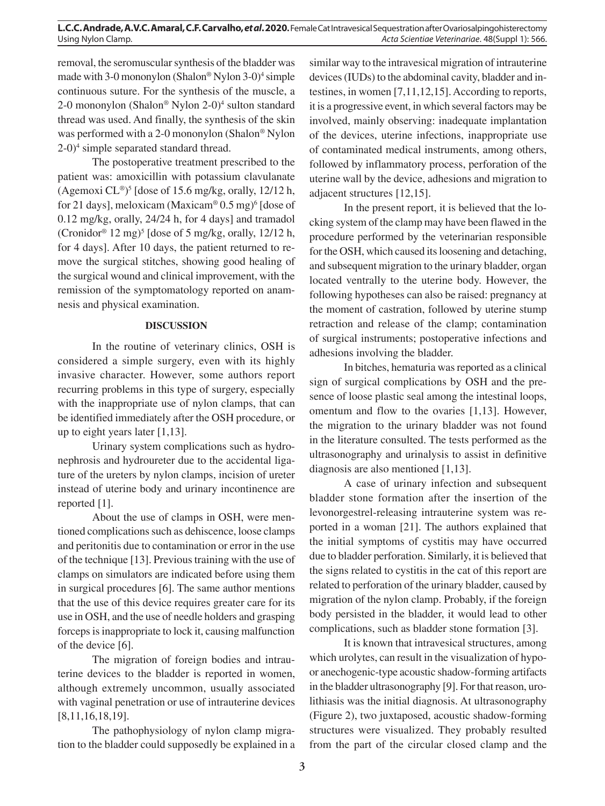## **L.C.C. Andrade, A.V.C. Amaral, C.F. Carvalho,** *et al***. 2020.** Female Cat Intravesical Sequestration after Ovariosalpingohisterectomy Using Nylon Clamp. *Acta Scientiae Veterinariae*. 48(Suppl 1): 566.

removal, the seromuscular synthesis of the bladder was made with 3-0 mononylon (Shalon® Nylon 3-0)<sup>4</sup> simple continuous suture. For the synthesis of the muscle, a 2-0 mononylon (Shalon® Nylon 2-0)<sup>4</sup> sulton standard thread was used. And finally, the synthesis of the skin was performed with a 2-0 mononylon (Shalon® Nylon 2-0)4 simple separated standard thread.

The postoperative treatment prescribed to the patient was: amoxicillin with potassium clavulanate (Agemoxi  $CL^{\circledast}$ <sup>5</sup> [dose of 15.6 mg/kg, orally, 12/12 h, for 21 days], meloxicam (Maxicam®  $0.5 \text{ mg}$ )<sup>6</sup> [dose of 0.12 mg/kg, orally, 24/24 h, for 4 days] and tramadol (Cronidor®  $12 \text{ mg}$ )<sup>5</sup> [dose of 5 mg/kg, orally,  $12/12 \text{ h}$ , for 4 days]. After 10 days, the patient returned to remove the surgical stitches, showing good healing of the surgical wound and clinical improvement, with the remission of the symptomatology reported on anamnesis and physical examination.

## **DISCUSSION**

In the routine of veterinary clinics, OSH is considered a simple surgery, even with its highly invasive character. However, some authors report recurring problems in this type of surgery, especially with the inappropriate use of nylon clamps, that can be identified immediately after the OSH procedure, or up to eight years later [1,13].

Urinary system complications such as hydronephrosis and hydroureter due to the accidental ligature of the ureters by nylon clamps, incision of ureter instead of uterine body and urinary incontinence are reported [1].

About the use of clamps in OSH, were mentioned complications such as dehiscence, loose clamps and peritonitis due to contamination or error in the use of the technique [13]. Previous training with the use of clamps on simulators are indicated before using them in surgical procedures [6]. The same author mentions that the use of this device requires greater care for its use in OSH, and the use of needle holders and grasping forceps is inappropriate to lock it, causing malfunction of the device [6].

The migration of foreign bodies and intrauterine devices to the bladder is reported in women, although extremely uncommon, usually associated with vaginal penetration or use of intrauterine devices [8,11,16,18,19].

The pathophysiology of nylon clamp migration to the bladder could supposedly be explained in a similar way to the intravesical migration of intrauterine devices (IUDs) to the abdominal cavity, bladder and intestines, in women [7,11,12,15]. According to reports, it is a progressive event, in which several factors may be involved, mainly observing: inadequate implantation of the devices, uterine infections, inappropriate use of contaminated medical instruments, among others, followed by inflammatory process, perforation of the uterine wall by the device, adhesions and migration to adjacent structures [12,15].

In the present report, it is believed that the locking system of the clamp may have been flawed in the procedure performed by the veterinarian responsible for the OSH, which caused its loosening and detaching, and subsequent migration to the urinary bladder, organ located ventrally to the uterine body. However, the following hypotheses can also be raised: pregnancy at the moment of castration, followed by uterine stump retraction and release of the clamp; contamination of surgical instruments; postoperative infections and adhesions involving the bladder.

In bitches, hematuria was reported as a clinical sign of surgical complications by OSH and the presence of loose plastic seal among the intestinal loops, omentum and flow to the ovaries [1,13]. However, the migration to the urinary bladder was not found in the literature consulted. The tests performed as the ultrasonography and urinalysis to assist in definitive diagnosis are also mentioned [1,13].

A case of urinary infection and subsequent bladder stone formation after the insertion of the levonorgestrel-releasing intrauterine system was reported in a woman [21]. The authors explained that the initial symptoms of cystitis may have occurred due to bladder perforation. Similarly, it is believed that the signs related to cystitis in the cat of this report are related to perforation of the urinary bladder, caused by migration of the nylon clamp. Probably, if the foreign body persisted in the bladder, it would lead to other complications, such as bladder stone formation [3].

It is known that intravesical structures, among which urolytes, can result in the visualization of hypoor anechogenic-type acoustic shadow-forming artifacts in the bladder ultrasonography [9]. For that reason, urolithiasis was the initial diagnosis. At ultrasonography (Figure 2), two juxtaposed, acoustic shadow-forming structures were visualized. They probably resulted from the part of the circular closed clamp and the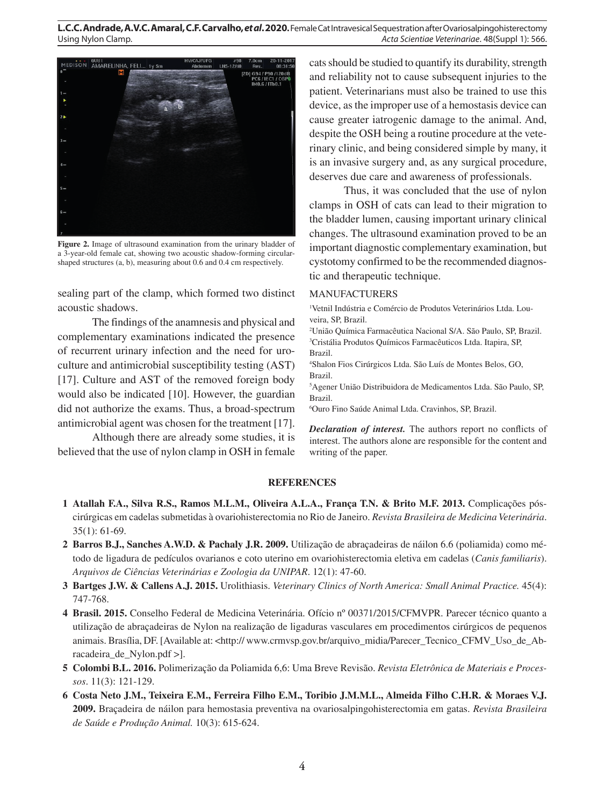

**Figure 2.** Image of ultrasound examination from the urinary bladder of a 3-year-old female cat, showing two acoustic shadow-forming circularshaped structures (a, b), measuring about 0.6 and 0.4 cm respectively.

sealing part of the clamp, which formed two distinct acoustic shadows.

The findings of the anamnesis and physical and complementary examinations indicated the presence of recurrent urinary infection and the need for uroculture and antimicrobial susceptibility testing (AST) [17]. Culture and AST of the removed foreign body would also be indicated [10]. However, the guardian did not authorize the exams. Thus, a broad-spectrum antimicrobial agent was chosen for the treatment [17].

Although there are already some studies, it is believed that the use of nylon clamp in OSH in female cats should be studied to quantify its durability, strength and reliability not to cause subsequent injuries to the patient. Veterinarians must also be trained to use this device, as the improper use of a hemostasis device can cause greater iatrogenic damage to the animal. And, despite the OSH being a routine procedure at the veterinary clinic, and being considered simple by many, it is an invasive surgery and, as any surgical procedure, deserves due care and awareness of professionals.

Thus, it was concluded that the use of nylon clamps in OSH of cats can lead to their migration to the bladder lumen, causing important urinary clinical changes. The ultrasound examination proved to be an important diagnostic complementary examination, but cystotomy confirmed to be the recommended diagnostic and therapeutic technique.

#### MANUFACTURERS

1 Vetnil Indústria e Comércio de Produtos Veterinários Ltda. Louveira, SP, Brazil.

2 União Química Farmacêutica Nacional S/A. São Paulo, SP, Brazil. 3 Cristália Produtos Químicos Farmacêuticos Ltda. Itapira, SP, Brazil.

4 Shalon Fios Cirúrgicos Ltda. São Luís de Montes Belos, GO, Brazil.

5 Agener União Distribuidora de Medicamentos Ltda. São Paulo, SP, Brazil.

6 Ouro Fino Saúde Animal Ltda. Cravinhos, SP, Brazil.

*Declaration of interest.* The authors report no conflicts of interest. The authors alone are responsible for the content and writing of the paper.

## **REFERENCES**

- **1 Atallah F.A., Silva R.S., Ramos M.L.M., Oliveira A.L.A., França T.N. & Brito M.F. 2013.** Complicações póscirúrgicas em cadelas submetidas à ovariohisterectomia no Rio de Janeiro. *Revista Brasileira de Medicina Veterinária*. 35(1): 61-69.
- **2 Barros B.J., Sanches A.W.D. & Pachaly J.R. 2009.** Utilização de abraçadeiras de náilon 6.6 (poliamida) como método de ligadura de pedículos ovarianos e coto uterino em ovariohisterectomia eletiva em cadelas (*Canis familiaris*). *Arquivos de Ciências Veterinárias e Zoologia da UNIPAR*. 12(1): 47-60.
- **3 Bartges J.W. & Callens A.J. 2015.** Urolithiasis. *Veterinary Clinics of North America: Small Animal Practice.* 45(4): 747-768.
- **4 Brasil. 2015.** Conselho Federal de Medicina Veterinária. Ofício nº 00371/2015/CFMVPR. Parecer técnico quanto a utilização de abraçadeiras de Nylon na realização de ligaduras vasculares em procedimentos cirúrgicos de pequenos animais. Brasília, DF. [Available at: <http:// www.crmvsp.gov.br/arquivo\_midia/Parecer\_Tecnico\_CFMV\_Uso\_de\_Abracadeira\_de\_Nylon.pdf >].
- **5 Colombi B.L. 2016.** Polimerização da Poliamida 6,6: Uma Breve Revisão. *Revista Eletrônica de Materiais e Processos*. 11(3): 121-129.
- **6 Costa Neto J.M., Teixeira E.M., Ferreira Filho E.M., Toribio J.M.M.L., Almeida Filho C.H.R. & Moraes V.J. 2009.** Braçadeira de náilon para hemostasia preventiva na ovariosalpingohisterectomia em gatas. *Revista Brasileira de Saúde e Produção Animal.* 10(3): 615-624.